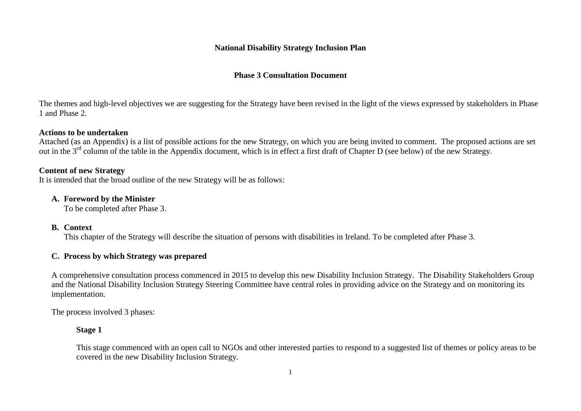#### **National Disability Strategy Inclusion Plan**

# **Phase 3 Consultation Document**

The themes and high-level objectives we are suggesting for the Strategy have been revised in the light of the views expressed by stakeholders in Phase 1 and Phase 2.

## **Actions to be undertaken**

Attached (as an Appendix) is a list of possible actions for the new Strategy, on which you are being invited to comment. The proposed actions are set out in the 3<sup>rd</sup> column of the table in the Appendix document, which is in effect a first draft of Chapter D (see below) of the new Strategy.

## **Content of new Strategy**

It is intended that the broad outline of the new Strategy will be as follows:

## **A. Foreword by the Minister**

To be completed after Phase 3.

## **B. Context**

This chapter of the Strategy will describe the situation of persons with disabilities in Ireland. To be completed after Phase 3.

# **C. Process by which Strategy was prepared**

A comprehensive consultation process commenced in 2015 to develop this new Disability Inclusion Strategy. The Disability Stakeholders Group and the National Disability Inclusion Strategy Steering Committee have central roles in providing advice on the Strategy and on monitoring its implementation.

The process involved 3 phases:

## **Stage 1**

This stage commenced with an open call to NGOs and other interested parties to respond to a suggested list of themes or policy areas to be covered in the new Disability Inclusion Strategy.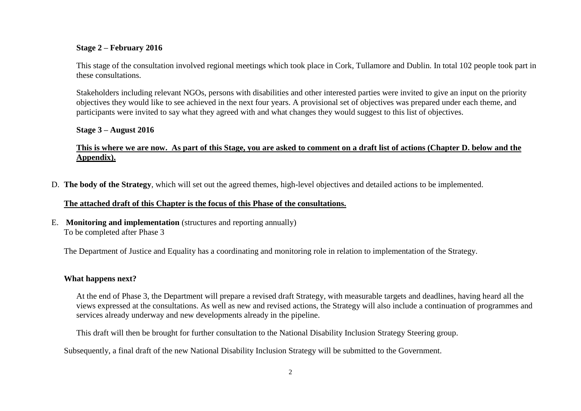#### **Stage 2 – February 2016**

This stage of the consultation involved regional meetings which took place in Cork, Tullamore and Dublin. In total 102 people took part in these consultations.

Stakeholders including relevant NGOs, persons with disabilities and other interested parties were invited to give an input on the priority objectives they would like to see achieved in the next four years. A provisional set of objectives was prepared under each theme, and participants were invited to say what they agreed with and what changes they would suggest to this list of objectives.

#### **Stage 3 – August 2016**

## **This is where we are now. As part of this Stage, you are asked to comment on a draft list of actions (Chapter D. below and the Appendix).**

D. **The body of the Strategy**, which will set out the agreed themes, high-level objectives and detailed actions to be implemented.

#### **The attached draft of this Chapter is the focus of this Phase of the consultations.**

E. **Monitoring and implementation** (structures and reporting annually) To be completed after Phase 3

The Department of Justice and Equality has a coordinating and monitoring role in relation to implementation of the Strategy.

#### **What happens next?**

At the end of Phase 3, the Department will prepare a revised draft Strategy, with measurable targets and deadlines, having heard all the views expressed at the consultations. As well as new and revised actions, the Strategy will also include a continuation of programmes and services already underway and new developments already in the pipeline.

This draft will then be brought for further consultation to the National Disability Inclusion Strategy Steering group.

Subsequently, a final draft of the new National Disability Inclusion Strategy will be submitted to the Government.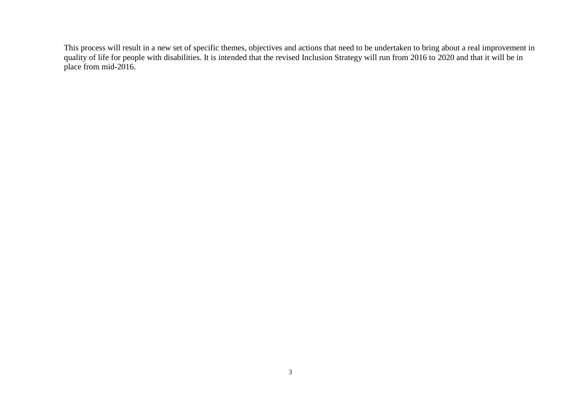This process will result in a new set of specific themes, objectives and actions that need to be undertaken to bring about a real improvement in quality of life for people with disabilities. It is intended that the revised Inclusion Strategy will run from 2016 to 2020 and that it will be in place from mid-2016.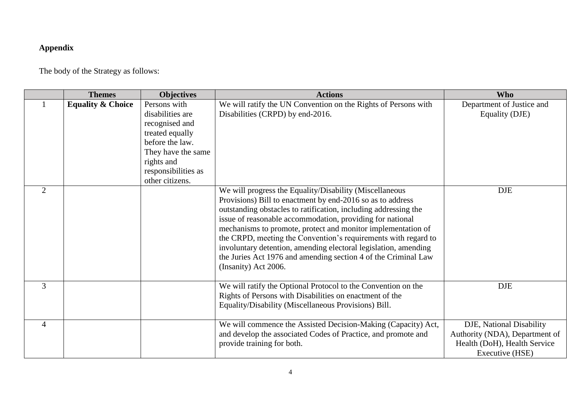# **Appendix**

The body of the Strategy as follows:

|                | <b>Themes</b>                | <b>Objectives</b>                                                                                                                                                      | <b>Actions</b>                                                                                                                                                                                                                                                                                                                                                                                                                                                                                                                                       | <b>Who</b>                                                                                                    |
|----------------|------------------------------|------------------------------------------------------------------------------------------------------------------------------------------------------------------------|------------------------------------------------------------------------------------------------------------------------------------------------------------------------------------------------------------------------------------------------------------------------------------------------------------------------------------------------------------------------------------------------------------------------------------------------------------------------------------------------------------------------------------------------------|---------------------------------------------------------------------------------------------------------------|
|                | <b>Equality &amp; Choice</b> | Persons with<br>disabilities are<br>recognised and<br>treated equally<br>before the law.<br>They have the same<br>rights and<br>responsibilities as<br>other citizens. | We will ratify the UN Convention on the Rights of Persons with<br>Disabilities (CRPD) by end-2016.                                                                                                                                                                                                                                                                                                                                                                                                                                                   | Department of Justice and<br>Equality (DJE)                                                                   |
| 2              |                              |                                                                                                                                                                        | We will progress the Equality/Disability (Miscellaneous<br>Provisions) Bill to enactment by end-2016 so as to address<br>outstanding obstacles to ratification, including addressing the<br>issue of reasonable accommodation, providing for national<br>mechanisms to promote, protect and monitor implementation of<br>the CRPD, meeting the Convention's requirements with regard to<br>involuntary detention, amending electoral legislation, amending<br>the Juries Act 1976 and amending section 4 of the Criminal Law<br>(Insanity) Act 2006. | <b>DJE</b>                                                                                                    |
| 3              |                              |                                                                                                                                                                        | We will ratify the Optional Protocol to the Convention on the<br>Rights of Persons with Disabilities on enactment of the<br>Equality/Disability (Miscellaneous Provisions) Bill.                                                                                                                                                                                                                                                                                                                                                                     | <b>DJE</b>                                                                                                    |
| $\overline{4}$ |                              |                                                                                                                                                                        | We will commence the Assisted Decision-Making (Capacity) Act,<br>and develop the associated Codes of Practice, and promote and<br>provide training for both.                                                                                                                                                                                                                                                                                                                                                                                         | DJE, National Disability<br>Authority (NDA), Department of<br>Health (DoH), Health Service<br>Executive (HSE) |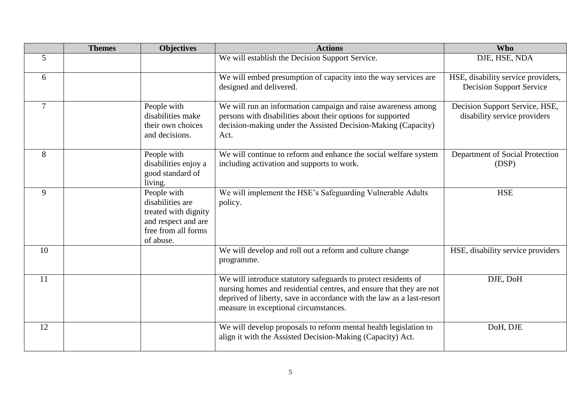|        | <b>Themes</b> | <b>Objectives</b>                                                                                                  | <b>Actions</b>                                                                                                                                                                                                                                          | <b>Who</b>                                                            |
|--------|---------------|--------------------------------------------------------------------------------------------------------------------|---------------------------------------------------------------------------------------------------------------------------------------------------------------------------------------------------------------------------------------------------------|-----------------------------------------------------------------------|
| 5      |               |                                                                                                                    | We will establish the Decision Support Service.                                                                                                                                                                                                         | DJE, HSE, NDA                                                         |
| 6      |               |                                                                                                                    | We will embed presumption of capacity into the way services are<br>designed and delivered.                                                                                                                                                              | HSE, disability service providers,<br><b>Decision Support Service</b> |
| $\tau$ |               | People with<br>disabilities make<br>their own choices<br>and decisions.                                            | We will run an information campaign and raise awareness among<br>persons with disabilities about their options for supported<br>decision-making under the Assisted Decision-Making (Capacity)<br>Act.                                                   | Decision Support Service, HSE,<br>disability service providers        |
| 8      |               | People with<br>disabilities enjoy a<br>good standard of<br>living.                                                 | We will continue to reform and enhance the social welfare system<br>including activation and supports to work.                                                                                                                                          | Department of Social Protection<br>(DSP)                              |
| 9      |               | People with<br>disabilities are<br>treated with dignity<br>and respect and are<br>free from all forms<br>of abuse. | We will implement the HSE's Safeguarding Vulnerable Adults<br>policy.                                                                                                                                                                                   | <b>HSE</b>                                                            |
| 10     |               |                                                                                                                    | We will develop and roll out a reform and culture change<br>programme.                                                                                                                                                                                  | HSE, disability service providers                                     |
| 11     |               |                                                                                                                    | We will introduce statutory safeguards to protect residents of<br>nursing homes and residential centres, and ensure that they are not<br>deprived of liberty, save in accordance with the law as a last-resort<br>measure in exceptional circumstances. | DJE, DoH                                                              |
| 12     |               |                                                                                                                    | We will develop proposals to reform mental health legislation to<br>align it with the Assisted Decision-Making (Capacity) Act.                                                                                                                          | DoH, DJE                                                              |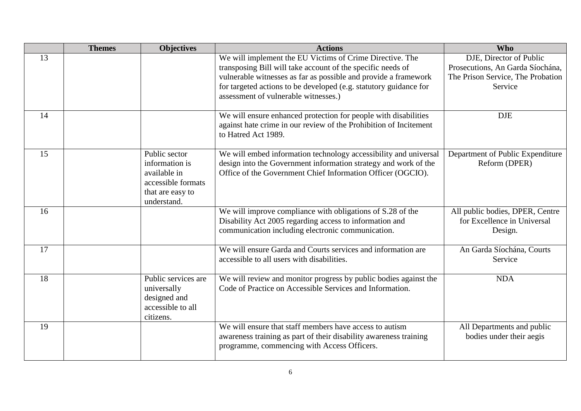|    | <b>Themes</b> | <b>Objectives</b>                                                                                        | <b>Actions</b>                                                                                                                                                                                     | <b>Who</b>                                                                |
|----|---------------|----------------------------------------------------------------------------------------------------------|----------------------------------------------------------------------------------------------------------------------------------------------------------------------------------------------------|---------------------------------------------------------------------------|
| 13 |               |                                                                                                          | We will implement the EU Victims of Crime Directive. The                                                                                                                                           | DJE, Director of Public                                                   |
|    |               |                                                                                                          | transposing Bill will take account of the specific needs of                                                                                                                                        | Prosecutions, An Garda Síochána,                                          |
|    |               |                                                                                                          | vulnerable witnesses as far as possible and provide a framework                                                                                                                                    | The Prison Service, The Probation                                         |
|    |               |                                                                                                          | for targeted actions to be developed (e.g. statutory guidance for                                                                                                                                  | Service                                                                   |
|    |               |                                                                                                          | assessment of vulnerable witnesses.)                                                                                                                                                               |                                                                           |
| 14 |               |                                                                                                          | We will ensure enhanced protection for people with disabilities<br>against hate crime in our review of the Prohibition of Incitement<br>to Hatred Act 1989.                                        | <b>DJE</b>                                                                |
| 15 |               | Public sector<br>information is<br>available in<br>accessible formats<br>that are easy to<br>understand. | We will embed information technology accessibility and universal<br>design into the Government information strategy and work of the<br>Office of the Government Chief Information Officer (OGCIO). | Department of Public Expenditure<br>Reform (DPER)                         |
| 16 |               |                                                                                                          | We will improve compliance with obligations of S.28 of the<br>Disability Act 2005 regarding access to information and<br>communication including electronic communication.                         | All public bodies, DPER, Centre<br>for Excellence in Universal<br>Design. |
| 17 |               |                                                                                                          | We will ensure Garda and Courts services and information are<br>accessible to all users with disabilities.                                                                                         | An Garda Síochána, Courts<br>Service                                      |
| 18 |               | Public services are<br>universally<br>designed and<br>accessible to all<br>citizens.                     | We will review and monitor progress by public bodies against the<br>Code of Practice on Accessible Services and Information.                                                                       | <b>NDA</b>                                                                |
| 19 |               |                                                                                                          | We will ensure that staff members have access to autism<br>awareness training as part of their disability awareness training<br>programme, commencing with Access Officers.                        | All Departments and public<br>bodies under their aegis                    |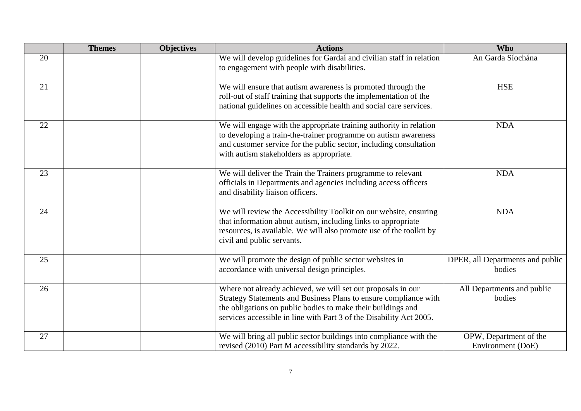|    | <b>Themes</b> | <b>Objectives</b> | <b>Actions</b>                                                                                                                                                                                                                                                          | <b>Who</b>                                  |
|----|---------------|-------------------|-------------------------------------------------------------------------------------------------------------------------------------------------------------------------------------------------------------------------------------------------------------------------|---------------------------------------------|
| 20 |               |                   | We will develop guidelines for Gardaí and civilian staff in relation<br>to engagement with people with disabilities.                                                                                                                                                    | An Garda Síochána                           |
| 21 |               |                   | We will ensure that autism awareness is promoted through the<br>roll-out of staff training that supports the implementation of the<br>national guidelines on accessible health and social care services.                                                                | <b>HSE</b>                                  |
| 22 |               |                   | We will engage with the appropriate training authority in relation<br>to developing a train-the-trainer programme on autism awareness<br>and customer service for the public sector, including consultation<br>with autism stakeholders as appropriate.                 | <b>NDA</b>                                  |
| 23 |               |                   | We will deliver the Train the Trainers programme to relevant<br>officials in Departments and agencies including access officers<br>and disability liaison officers.                                                                                                     | <b>NDA</b>                                  |
| 24 |               |                   | We will review the Accessibility Toolkit on our website, ensuring<br>that information about autism, including links to appropriate<br>resources, is available. We will also promote use of the toolkit by<br>civil and public servants.                                 | <b>NDA</b>                                  |
| 25 |               |                   | We will promote the design of public sector websites in<br>accordance with universal design principles.                                                                                                                                                                 | DPER, all Departments and public<br>bodies  |
| 26 |               |                   | Where not already achieved, we will set out proposals in our<br>Strategy Statements and Business Plans to ensure compliance with<br>the obligations on public bodies to make their buildings and<br>services accessible in line with Part 3 of the Disability Act 2005. | All Departments and public<br>bodies        |
| 27 |               |                   | We will bring all public sector buildings into compliance with the<br>revised (2010) Part M accessibility standards by 2022.                                                                                                                                            | OPW, Department of the<br>Environment (DoE) |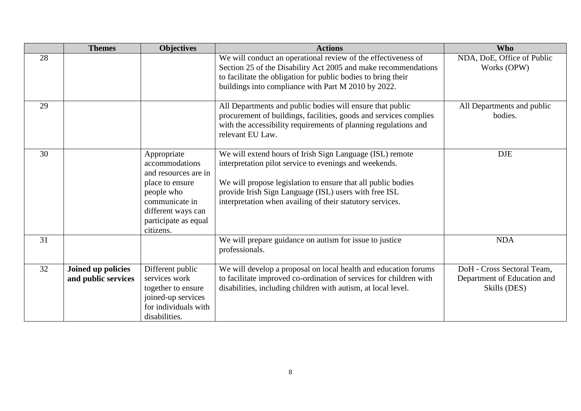|    | <b>Themes</b>                             | <b>Objectives</b>                                                                                                                                                   | <b>Actions</b>                                                                                                                                                                                                                                                                                           | <b>Who</b>                                                                |
|----|-------------------------------------------|---------------------------------------------------------------------------------------------------------------------------------------------------------------------|----------------------------------------------------------------------------------------------------------------------------------------------------------------------------------------------------------------------------------------------------------------------------------------------------------|---------------------------------------------------------------------------|
| 28 |                                           |                                                                                                                                                                     | We will conduct an operational review of the effectiveness of<br>Section 25 of the Disability Act 2005 and make recommendations<br>to facilitate the obligation for public bodies to bring their<br>buildings into compliance with Part M 2010 by 2022.                                                  | NDA, DoE, Office of Public<br>Works (OPW)                                 |
| 29 |                                           |                                                                                                                                                                     | All Departments and public bodies will ensure that public<br>procurement of buildings, facilities, goods and services complies<br>with the accessibility requirements of planning regulations and<br>relevant EU Law.                                                                                    | All Departments and public<br>bodies.                                     |
| 30 |                                           | Appropriate<br>accommodations<br>and resources are in<br>place to ensure<br>people who<br>communicate in<br>different ways can<br>participate as equal<br>citizens. | We will extend hours of Irish Sign Language (ISL) remote<br>interpretation pilot service to evenings and weekends.<br>We will propose legislation to ensure that all public bodies<br>provide Irish Sign Language (ISL) users with free ISL<br>interpretation when availing of their statutory services. | <b>DJE</b>                                                                |
| 31 |                                           |                                                                                                                                                                     | We will prepare guidance on autism for issue to justice<br>professionals.                                                                                                                                                                                                                                | <b>NDA</b>                                                                |
| 32 | Joined up policies<br>and public services | Different public<br>services work<br>together to ensure<br>joined-up services<br>for individuals with<br>disabilities.                                              | We will develop a proposal on local health and education forums<br>to facilitate improved co-ordination of services for children with<br>disabilities, including children with autism, at local level.                                                                                                   | DoH - Cross Sectoral Team,<br>Department of Education and<br>Skills (DES) |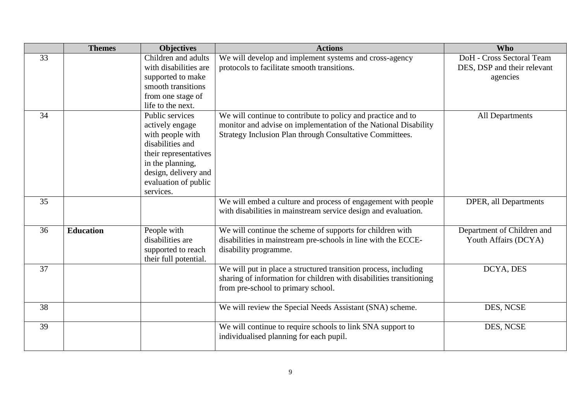|    | <b>Themes</b>    | <b>Objectives</b>                                                                                                                                                                    | <b>Actions</b>                                                                                                                                                                              | <b>Who</b>                                                           |
|----|------------------|--------------------------------------------------------------------------------------------------------------------------------------------------------------------------------------|---------------------------------------------------------------------------------------------------------------------------------------------------------------------------------------------|----------------------------------------------------------------------|
| 33 |                  | Children and adults<br>with disabilities are<br>supported to make<br>smooth transitions<br>from one stage of<br>life to the next.                                                    | We will develop and implement systems and cross-agency<br>protocols to facilitate smooth transitions.                                                                                       | DoH - Cross Sectoral Team<br>DES, DSP and their relevant<br>agencies |
| 34 |                  | Public services<br>actively engage<br>with people with<br>disabilities and<br>their representatives<br>in the planning,<br>design, delivery and<br>evaluation of public<br>services. | We will continue to contribute to policy and practice and to<br>monitor and advise on implementation of the National Disability<br>Strategy Inclusion Plan through Consultative Committees. | All Departments                                                      |
| 35 |                  |                                                                                                                                                                                      | We will embed a culture and process of engagement with people<br>with disabilities in mainstream service design and evaluation.                                                             | DPER, all Departments                                                |
| 36 | <b>Education</b> | People with<br>disabilities are<br>supported to reach<br>their full potential.                                                                                                       | We will continue the scheme of supports for children with<br>disabilities in mainstream pre-schools in line with the ECCE-<br>disability programme.                                         | Department of Children and<br>Youth Affairs (DCYA)                   |
| 37 |                  |                                                                                                                                                                                      | We will put in place a structured transition process, including<br>sharing of information for children with disabilities transitioning<br>from pre-school to primary school.                | DCYA, DES                                                            |
| 38 |                  |                                                                                                                                                                                      | We will review the Special Needs Assistant (SNA) scheme.                                                                                                                                    | DES, NCSE                                                            |
| 39 |                  |                                                                                                                                                                                      | We will continue to require schools to link SNA support to<br>individualised planning for each pupil.                                                                                       | DES, NCSE                                                            |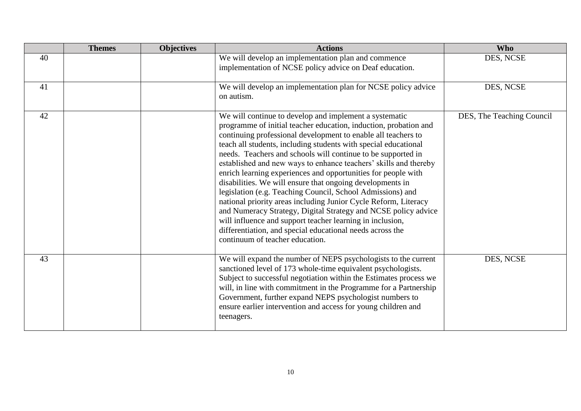|    | <b>Themes</b> | <b>Objectives</b> | <b>Actions</b>                                                                                                                                                                                                                                                                                                                                                                                                                                                                                                                                                                                                                                                                                                                                                                                                                                                                                   | <b>Who</b>                |
|----|---------------|-------------------|--------------------------------------------------------------------------------------------------------------------------------------------------------------------------------------------------------------------------------------------------------------------------------------------------------------------------------------------------------------------------------------------------------------------------------------------------------------------------------------------------------------------------------------------------------------------------------------------------------------------------------------------------------------------------------------------------------------------------------------------------------------------------------------------------------------------------------------------------------------------------------------------------|---------------------------|
| 40 |               |                   | We will develop an implementation plan and commence<br>implementation of NCSE policy advice on Deaf education.                                                                                                                                                                                                                                                                                                                                                                                                                                                                                                                                                                                                                                                                                                                                                                                   | DES, NCSE                 |
| 41 |               |                   | We will develop an implementation plan for NCSE policy advice<br>on autism.                                                                                                                                                                                                                                                                                                                                                                                                                                                                                                                                                                                                                                                                                                                                                                                                                      | DES, NCSE                 |
| 42 |               |                   | We will continue to develop and implement a systematic<br>programme of initial teacher education, induction, probation and<br>continuing professional development to enable all teachers to<br>teach all students, including students with special educational<br>needs. Teachers and schools will continue to be supported in<br>established and new ways to enhance teachers' skills and thereby<br>enrich learning experiences and opportunities for people with<br>disabilities. We will ensure that ongoing developments in<br>legislation (e.g. Teaching Council, School Admissions) and<br>national priority areas including Junior Cycle Reform, Literacy<br>and Numeracy Strategy, Digital Strategy and NCSE policy advice<br>will influence and support teacher learning in inclusion,<br>differentiation, and special educational needs across the<br>continuum of teacher education. | DES, The Teaching Council |
| 43 |               |                   | We will expand the number of NEPS psychologists to the current<br>sanctioned level of 173 whole-time equivalent psychologists.<br>Subject to successful negotiation within the Estimates process we<br>will, in line with commitment in the Programme for a Partnership<br>Government, further expand NEPS psychologist numbers to<br>ensure earlier intervention and access for young children and<br>teenagers.                                                                                                                                                                                                                                                                                                                                                                                                                                                                                | DES, NCSE                 |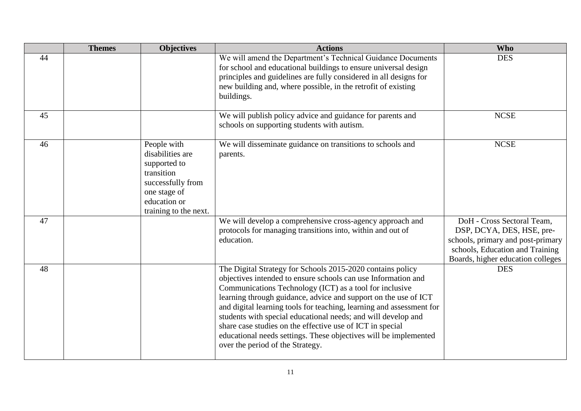|    | <b>Themes</b> | <b>Objectives</b>                                                                                                                           | <b>Actions</b>                                                                                                                                                                                                                                                                                                                                                                                                                                                                                                                                                          | <b>Who</b>                                                                                                                                                           |
|----|---------------|---------------------------------------------------------------------------------------------------------------------------------------------|-------------------------------------------------------------------------------------------------------------------------------------------------------------------------------------------------------------------------------------------------------------------------------------------------------------------------------------------------------------------------------------------------------------------------------------------------------------------------------------------------------------------------------------------------------------------------|----------------------------------------------------------------------------------------------------------------------------------------------------------------------|
| 44 |               |                                                                                                                                             | We will amend the Department's Technical Guidance Documents<br>for school and educational buildings to ensure universal design<br>principles and guidelines are fully considered in all designs for<br>new building and, where possible, in the retrofit of existing<br>buildings.                                                                                                                                                                                                                                                                                      | <b>DES</b>                                                                                                                                                           |
| 45 |               |                                                                                                                                             | We will publish policy advice and guidance for parents and<br>schools on supporting students with autism.                                                                                                                                                                                                                                                                                                                                                                                                                                                               | <b>NCSE</b>                                                                                                                                                          |
| 46 |               | People with<br>disabilities are<br>supported to<br>transition<br>successfully from<br>one stage of<br>education or<br>training to the next. | We will disseminate guidance on transitions to schools and<br>parents.                                                                                                                                                                                                                                                                                                                                                                                                                                                                                                  | <b>NCSE</b>                                                                                                                                                          |
| 47 |               |                                                                                                                                             | We will develop a comprehensive cross-agency approach and<br>protocols for managing transitions into, within and out of<br>education.                                                                                                                                                                                                                                                                                                                                                                                                                                   | DoH - Cross Sectoral Team,<br>DSP, DCYA, DES, HSE, pre-<br>schools, primary and post-primary<br>schools, Education and Training<br>Boards, higher education colleges |
| 48 |               |                                                                                                                                             | The Digital Strategy for Schools 2015-2020 contains policy<br>objectives intended to ensure schools can use Information and<br>Communications Technology (ICT) as a tool for inclusive<br>learning through guidance, advice and support on the use of ICT<br>and digital learning tools for teaching, learning and assessment for<br>students with special educational needs; and will develop and<br>share case studies on the effective use of ICT in special<br>educational needs settings. These objectives will be implemented<br>over the period of the Strategy. | <b>DES</b>                                                                                                                                                           |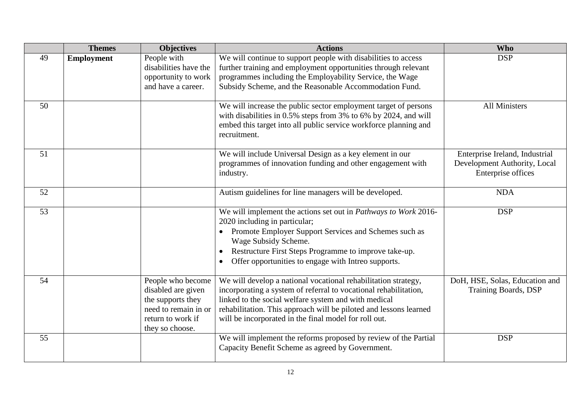|    | <b>Themes</b>     | <b>Objectives</b>                                                                                                            | <b>Actions</b>                                                                                                                                                                                                                                                                                                           | <b>Who</b>                                                                           |
|----|-------------------|------------------------------------------------------------------------------------------------------------------------------|--------------------------------------------------------------------------------------------------------------------------------------------------------------------------------------------------------------------------------------------------------------------------------------------------------------------------|--------------------------------------------------------------------------------------|
| 49 | <b>Employment</b> | People with<br>disabilities have the<br>opportunity to work<br>and have a career.                                            | We will continue to support people with disabilities to access<br>further training and employment opportunities through relevant<br>programmes including the Employability Service, the Wage<br>Subsidy Scheme, and the Reasonable Accommodation Fund.                                                                   | <b>DSP</b>                                                                           |
| 50 |                   |                                                                                                                              | We will increase the public sector employment target of persons<br>with disabilities in 0.5% steps from 3% to 6% by 2024, and will<br>embed this target into all public service workforce planning and<br>recruitment.                                                                                                   | <b>All Ministers</b>                                                                 |
| 51 |                   |                                                                                                                              | We will include Universal Design as a key element in our<br>programmes of innovation funding and other engagement with<br>industry.                                                                                                                                                                                      | Enterprise Ireland, Industrial<br>Development Authority, Local<br>Enterprise offices |
| 52 |                   |                                                                                                                              | Autism guidelines for line managers will be developed.                                                                                                                                                                                                                                                                   | <b>NDA</b>                                                                           |
| 53 |                   |                                                                                                                              | We will implement the actions set out in Pathways to Work 2016-<br>2020 including in particular;<br>Promote Employer Support Services and Schemes such as<br>Wage Subsidy Scheme.<br>Restructure First Steps Programme to improve take-up.<br>Offer opportunities to engage with Intreo supports.                        | <b>DSP</b>                                                                           |
| 54 |                   | People who become<br>disabled are given<br>the supports they<br>need to remain in or<br>return to work if<br>they so choose. | We will develop a national vocational rehabilitation strategy,<br>incorporating a system of referral to vocational rehabilitation,<br>linked to the social welfare system and with medical<br>rehabilitation. This approach will be piloted and lessons learned<br>will be incorporated in the final model for roll out. | DoH, HSE, Solas, Education and<br>Training Boards, DSP                               |
| 55 |                   |                                                                                                                              | We will implement the reforms proposed by review of the Partial<br>Capacity Benefit Scheme as agreed by Government.                                                                                                                                                                                                      | <b>DSP</b>                                                                           |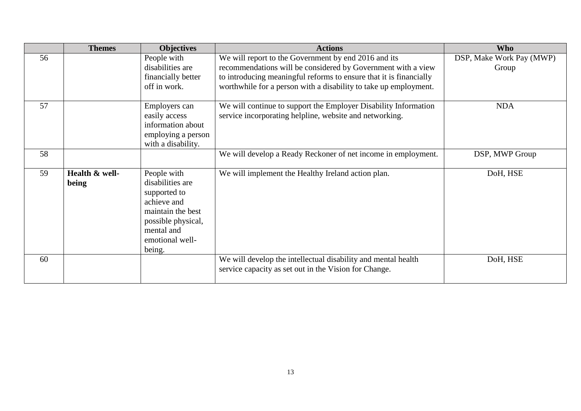|    | <b>Themes</b>           | <b>Objectives</b>                                                                                                                                    | <b>Actions</b>                                                                                                                                                                                                                                                 | <b>Who</b>                        |
|----|-------------------------|------------------------------------------------------------------------------------------------------------------------------------------------------|----------------------------------------------------------------------------------------------------------------------------------------------------------------------------------------------------------------------------------------------------------------|-----------------------------------|
| 56 |                         | People with<br>disabilities are<br>financially better<br>off in work.                                                                                | We will report to the Government by end 2016 and its<br>recommendations will be considered by Government with a view<br>to introducing meaningful reforms to ensure that it is financially<br>worthwhile for a person with a disability to take up employment. | DSP, Make Work Pay (MWP)<br>Group |
| 57 |                         | Employers can<br>easily access<br>information about<br>employing a person<br>with a disability.                                                      | We will continue to support the Employer Disability Information<br>service incorporating helpline, website and networking.                                                                                                                                     | <b>NDA</b>                        |
| 58 |                         |                                                                                                                                                      | We will develop a Ready Reckoner of net income in employment.                                                                                                                                                                                                  | DSP, MWP Group                    |
| 59 | Health & well-<br>being | People with<br>disabilities are<br>supported to<br>achieve and<br>maintain the best<br>possible physical,<br>mental and<br>emotional well-<br>being. | We will implement the Healthy Ireland action plan.                                                                                                                                                                                                             | DoH, HSE                          |
| 60 |                         |                                                                                                                                                      | We will develop the intellectual disability and mental health<br>service capacity as set out in the Vision for Change.                                                                                                                                         | DoH, HSE                          |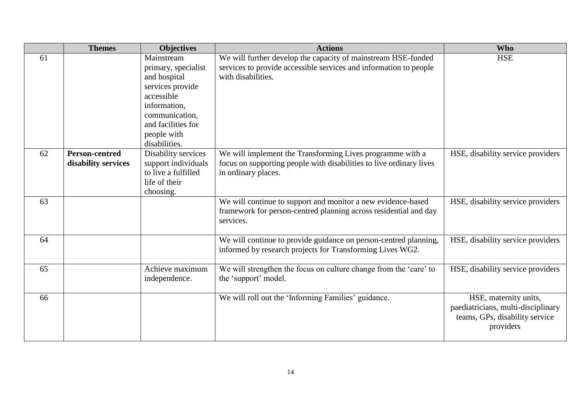|    | <b>Themes</b>                                | <b>Objectives</b>                                                                                                                                                           | <b>Actions</b>                                                                                                                                           | <b>Who</b>                                                                                                 |
|----|----------------------------------------------|-----------------------------------------------------------------------------------------------------------------------------------------------------------------------------|----------------------------------------------------------------------------------------------------------------------------------------------------------|------------------------------------------------------------------------------------------------------------|
| 61 |                                              | Mainstream<br>primary, specialist<br>and hospital<br>services provide<br>accessible<br>information,<br>communication.<br>and facilities for<br>people with<br>disabilities. | We will further develop the capacity of mainstream HSE-funded<br>services to provide accessible services and information to people<br>with disabilities. | <b>HSE</b>                                                                                                 |
| 62 | <b>Person-centred</b><br>disability services | Disability services<br>support individuals<br>to live a fulfilled<br>life of their<br>choosing.                                                                             | We will implement the Transforming Lives programme with a<br>focus on supporting people with disabilities to live ordinary lives<br>in ordinary places.  | HSE, disability service providers                                                                          |
| 63 |                                              |                                                                                                                                                                             | We will continue to support and monitor a new evidence-based<br>framework for person-centred planning across residential and day<br>services.            | HSE, disability service providers                                                                          |
| 64 |                                              |                                                                                                                                                                             | We will continue to provide guidance on person-centred planning,<br>informed by research projects for Transforming Lives WG2.                            | HSE, disability service providers                                                                          |
| 65 |                                              | Achieve maximum<br>independence.                                                                                                                                            | We will strengthen the focus on culture change from the 'care' to<br>the 'support' model.                                                                | HSE, disability service providers                                                                          |
| 66 |                                              |                                                                                                                                                                             | We will roll out the 'Informing Families' guidance.                                                                                                      | HSE, maternity units,<br>paediatricians, multi-disciplinary<br>teams, GPs, disability service<br>providers |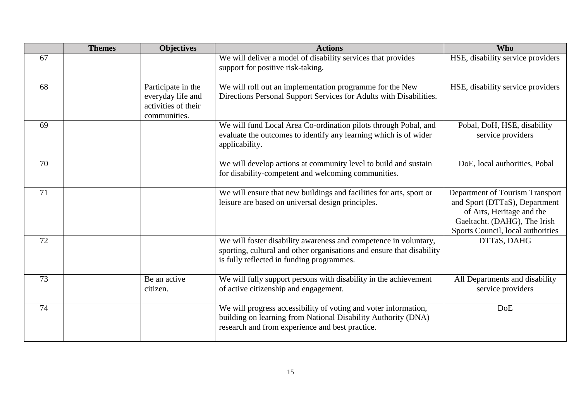|    | <b>Themes</b> | <b>Objectives</b>                                                              | <b>Actions</b>                                                                                                                                                                         | <b>Who</b>                                                                                                                                                         |
|----|---------------|--------------------------------------------------------------------------------|----------------------------------------------------------------------------------------------------------------------------------------------------------------------------------------|--------------------------------------------------------------------------------------------------------------------------------------------------------------------|
| 67 |               |                                                                                | We will deliver a model of disability services that provides<br>support for positive risk-taking.                                                                                      | HSE, disability service providers                                                                                                                                  |
| 68 |               | Participate in the<br>everyday life and<br>activities of their<br>communities. | We will roll out an implementation programme for the New<br>Directions Personal Support Services for Adults with Disabilities.                                                         | HSE, disability service providers                                                                                                                                  |
| 69 |               |                                                                                | We will fund Local Area Co-ordination pilots through Pobal, and<br>evaluate the outcomes to identify any learning which is of wider<br>applicability.                                  | Pobal, DoH, HSE, disability<br>service providers                                                                                                                   |
| 70 |               |                                                                                | We will develop actions at community level to build and sustain<br>for disability-competent and welcoming communities.                                                                 | DoE, local authorities, Pobal                                                                                                                                      |
| 71 |               |                                                                                | We will ensure that new buildings and facilities for arts, sport or<br>leisure are based on universal design principles.                                                               | Department of Tourism Transport<br>and Sport (DTTaS), Department<br>of Arts, Heritage and the<br>Gaeltacht. (DAHG), The Irish<br>Sports Council, local authorities |
| 72 |               |                                                                                | We will foster disability awareness and competence in voluntary,<br>sporting, cultural and other organisations and ensure that disability<br>is fully reflected in funding programmes. | DTTaS, DAHG                                                                                                                                                        |
| 73 |               | Be an active<br>citizen.                                                       | We will fully support persons with disability in the achievement<br>of active citizenship and engagement.                                                                              | All Departments and disability<br>service providers                                                                                                                |
| 74 |               |                                                                                | We will progress accessibility of voting and voter information,<br>building on learning from National Disability Authority (DNA)<br>research and from experience and best practice.    | <b>DoE</b>                                                                                                                                                         |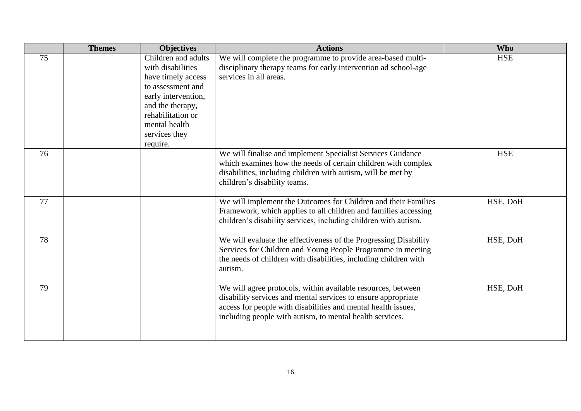|    | <b>Themes</b> | <b>Objectives</b>                                                                                                                                                                                 | <b>Actions</b>                                                                                                                                                                                                                                             | <b>Who</b> |
|----|---------------|---------------------------------------------------------------------------------------------------------------------------------------------------------------------------------------------------|------------------------------------------------------------------------------------------------------------------------------------------------------------------------------------------------------------------------------------------------------------|------------|
| 75 |               | Children and adults<br>with disabilities<br>have timely access<br>to assessment and<br>early intervention,<br>and the therapy,<br>rehabilitation or<br>mental health<br>services they<br>require. | We will complete the programme to provide area-based multi-<br>disciplinary therapy teams for early intervention ad school-age<br>services in all areas.                                                                                                   | <b>HSE</b> |
| 76 |               |                                                                                                                                                                                                   | We will finalise and implement Specialist Services Guidance<br>which examines how the needs of certain children with complex<br>disabilities, including children with autism, will be met by<br>children's disability teams.                               | <b>HSE</b> |
| 77 |               |                                                                                                                                                                                                   | We will implement the Outcomes for Children and their Families<br>Framework, which applies to all children and families accessing<br>children's disability services, including children with autism.                                                       | HSE, DoH   |
| 78 |               |                                                                                                                                                                                                   | We will evaluate the effectiveness of the Progressing Disability<br>Services for Children and Young People Programme in meeting<br>the needs of children with disabilities, including children with<br>autism.                                             | HSE, DoH   |
| 79 |               |                                                                                                                                                                                                   | We will agree protocols, within available resources, between<br>disability services and mental services to ensure appropriate<br>access for people with disabilities and mental health issues,<br>including people with autism, to mental health services. | HSE, DoH   |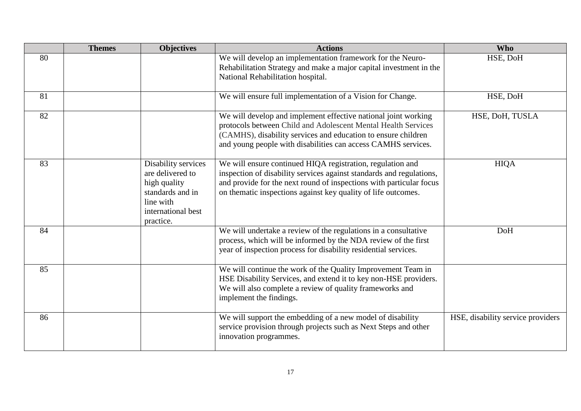|    | <b>Themes</b> | <b>Objectives</b>                                                                                                           | <b>Actions</b>                                                                                                                                                                                                                                                             | <b>Who</b>                        |
|----|---------------|-----------------------------------------------------------------------------------------------------------------------------|----------------------------------------------------------------------------------------------------------------------------------------------------------------------------------------------------------------------------------------------------------------------------|-----------------------------------|
| 80 |               |                                                                                                                             | We will develop an implementation framework for the Neuro-<br>Rehabilitation Strategy and make a major capital investment in the<br>National Rehabilitation hospital.                                                                                                      | HSE, DoH                          |
| 81 |               |                                                                                                                             | We will ensure full implementation of a Vision for Change.                                                                                                                                                                                                                 | HSE, DoH                          |
| 82 |               |                                                                                                                             | We will develop and implement effective national joint working<br>protocols between Child and Adolescent Mental Health Services<br>(CAMHS), disability services and education to ensure children<br>and young people with disabilities can access CAMHS services.          | HSE, DoH, TUSLA                   |
| 83 |               | Disability services<br>are delivered to<br>high quality<br>standards and in<br>line with<br>international best<br>practice. | We will ensure continued HIQA registration, regulation and<br>inspection of disability services against standards and regulations,<br>and provide for the next round of inspections with particular focus<br>on thematic inspections against key quality of life outcomes. | <b>HIQA</b>                       |
| 84 |               |                                                                                                                             | We will undertake a review of the regulations in a consultative<br>process, which will be informed by the NDA review of the first<br>year of inspection process for disability residential services.                                                                       | <b>DoH</b>                        |
| 85 |               |                                                                                                                             | We will continue the work of the Quality Improvement Team in<br>HSE Disability Services, and extend it to key non-HSE providers.<br>We will also complete a review of quality frameworks and<br>implement the findings.                                                    |                                   |
| 86 |               |                                                                                                                             | We will support the embedding of a new model of disability<br>service provision through projects such as Next Steps and other<br>innovation programmes.                                                                                                                    | HSE, disability service providers |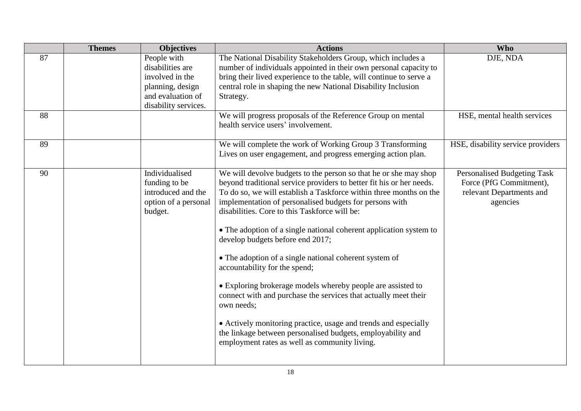|    | <b>Themes</b> | <b>Objectives</b>                                                                                                   | <b>Actions</b>                                                                                                                                                                                                                                                                                                                                                                                                                                                                                                                                                                                                                                                                                                                                                                                                                                                     | <b>Who</b>                                                                                     |
|----|---------------|---------------------------------------------------------------------------------------------------------------------|--------------------------------------------------------------------------------------------------------------------------------------------------------------------------------------------------------------------------------------------------------------------------------------------------------------------------------------------------------------------------------------------------------------------------------------------------------------------------------------------------------------------------------------------------------------------------------------------------------------------------------------------------------------------------------------------------------------------------------------------------------------------------------------------------------------------------------------------------------------------|------------------------------------------------------------------------------------------------|
| 87 |               | People with<br>disabilities are<br>involved in the<br>planning, design<br>and evaluation of<br>disability services. | The National Disability Stakeholders Group, which includes a<br>number of individuals appointed in their own personal capacity to<br>bring their lived experience to the table, will continue to serve a<br>central role in shaping the new National Disability Inclusion<br>Strategy.                                                                                                                                                                                                                                                                                                                                                                                                                                                                                                                                                                             | DJE, NDA                                                                                       |
| 88 |               |                                                                                                                     | We will progress proposals of the Reference Group on mental<br>health service users' involvement.                                                                                                                                                                                                                                                                                                                                                                                                                                                                                                                                                                                                                                                                                                                                                                  | HSE, mental health services                                                                    |
| 89 |               |                                                                                                                     | We will complete the work of Working Group 3 Transforming<br>Lives on user engagement, and progress emerging action plan.                                                                                                                                                                                                                                                                                                                                                                                                                                                                                                                                                                                                                                                                                                                                          | HSE, disability service providers                                                              |
| 90 |               | Individualised<br>funding to be<br>introduced and the<br>option of a personal<br>budget.                            | We will devolve budgets to the person so that he or she may shop<br>beyond traditional service providers to better fit his or her needs.<br>To do so, we will establish a Taskforce within three months on the<br>implementation of personalised budgets for persons with<br>disabilities. Core to this Taskforce will be:<br>• The adoption of a single national coherent application system to<br>develop budgets before end 2017;<br>• The adoption of a single national coherent system of<br>accountability for the spend;<br>• Exploring brokerage models whereby people are assisted to<br>connect with and purchase the services that actually meet their<br>own needs;<br>• Actively monitoring practice, usage and trends and especially<br>the linkage between personalised budgets, employability and<br>employment rates as well as community living. | Personalised Budgeting Task<br>Force (PfG Commitment),<br>relevant Departments and<br>agencies |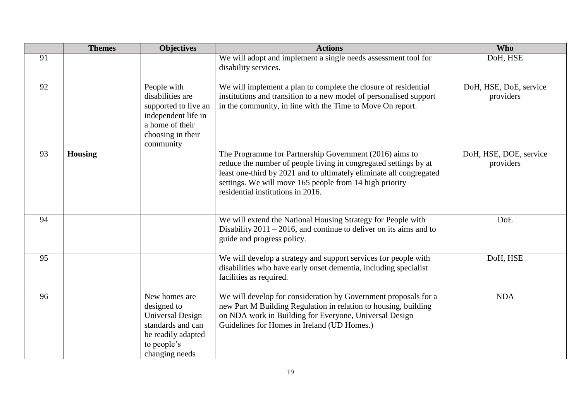|    | <b>Themes</b>  | <b>Objectives</b>                                                                                                                   | <b>Actions</b>                                                                                                                                                                                                                                                                                     | <b>Who</b>                          |
|----|----------------|-------------------------------------------------------------------------------------------------------------------------------------|----------------------------------------------------------------------------------------------------------------------------------------------------------------------------------------------------------------------------------------------------------------------------------------------------|-------------------------------------|
| 91 |                |                                                                                                                                     | We will adopt and implement a single needs assessment tool for<br>disability services.                                                                                                                                                                                                             | DoH, HSE                            |
| 92 |                | People with<br>disabilities are<br>supported to live an<br>independent life in<br>a home of their<br>choosing in their<br>community | We will implement a plan to complete the closure of residential<br>institutions and transition to a new model of personalised support<br>in the community, in line with the Time to Move On report.                                                                                                | DoH, HSE, DoE, service<br>providers |
| 93 | <b>Housing</b> |                                                                                                                                     | The Programme for Partnership Government (2016) aims to<br>reduce the number of people living in congregated settings by at<br>least one-third by 2021 and to ultimately eliminate all congregated<br>settings. We will move 165 people from 14 high priority<br>residential institutions in 2016. | DoH, HSE, DOE, service<br>providers |
| 94 |                |                                                                                                                                     | We will extend the National Housing Strategy for People with<br>Disability $2011 - 2016$ , and continue to deliver on its aims and to<br>guide and progress policy.                                                                                                                                | DoE                                 |
| 95 |                |                                                                                                                                     | We will develop a strategy and support services for people with<br>disabilities who have early onset dementia, including specialist<br>facilities as required.                                                                                                                                     | DoH, HSE                            |
| 96 |                | New homes are<br>designed to<br><b>Universal Design</b><br>standards and can<br>be readily adapted<br>to people's<br>changing needs | We will develop for consideration by Government proposals for a<br>new Part M Building Regulation in relation to housing, building<br>on NDA work in Building for Everyone, Universal Design<br>Guidelines for Homes in Ireland (UD Homes.)                                                        | <b>NDA</b>                          |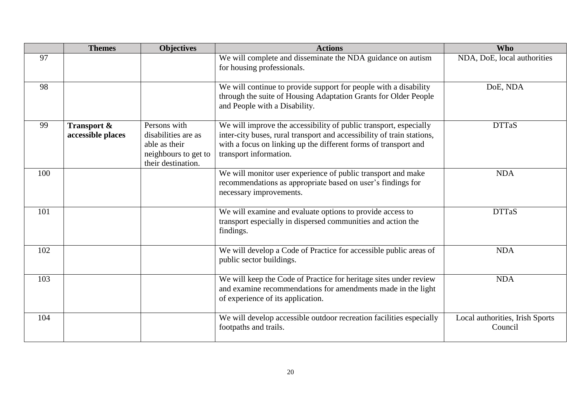|     | <b>Themes</b>                               | <b>Objectives</b>                                                                                  | <b>Actions</b>                                                                                                                                                                                                                           | <b>Who</b>                                 |
|-----|---------------------------------------------|----------------------------------------------------------------------------------------------------|------------------------------------------------------------------------------------------------------------------------------------------------------------------------------------------------------------------------------------------|--------------------------------------------|
| 97  |                                             |                                                                                                    | We will complete and disseminate the NDA guidance on autism<br>for housing professionals.                                                                                                                                                | NDA, DoE, local authorities                |
| 98  |                                             |                                                                                                    | We will continue to provide support for people with a disability<br>through the suite of Housing Adaptation Grants for Older People<br>and People with a Disability.                                                                     | DoE, NDA                                   |
| 99  | <b>Transport &amp;</b><br>accessible places | Persons with<br>disabilities are as<br>able as their<br>neighbours to get to<br>their destination. | We will improve the accessibility of public transport, especially<br>inter-city buses, rural transport and accessibility of train stations,<br>with a focus on linking up the different forms of transport and<br>transport information. | <b>DTTaS</b>                               |
| 100 |                                             |                                                                                                    | We will monitor user experience of public transport and make<br>recommendations as appropriate based on user's findings for<br>necessary improvements.                                                                                   | <b>NDA</b>                                 |
| 101 |                                             |                                                                                                    | We will examine and evaluate options to provide access to<br>transport especially in dispersed communities and action the<br>findings.                                                                                                   | <b>DTTaS</b>                               |
| 102 |                                             |                                                                                                    | We will develop a Code of Practice for accessible public areas of<br>public sector buildings.                                                                                                                                            | <b>NDA</b>                                 |
| 103 |                                             |                                                                                                    | We will keep the Code of Practice for heritage sites under review<br>and examine recommendations for amendments made in the light<br>of experience of its application.                                                                   | <b>NDA</b>                                 |
| 104 |                                             |                                                                                                    | We will develop accessible outdoor recreation facilities especially<br>footpaths and trails.                                                                                                                                             | Local authorities, Irish Sports<br>Council |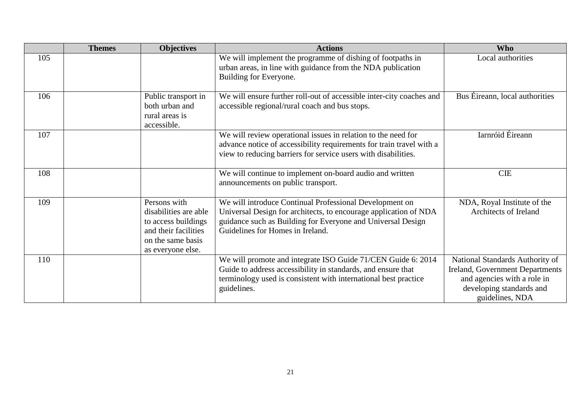|     | <b>Themes</b> | <b>Objectives</b>                                                                                                              | <b>Actions</b>                                                                                                                                                                                                                 | <b>Who</b>                                                                                                                                              |
|-----|---------------|--------------------------------------------------------------------------------------------------------------------------------|--------------------------------------------------------------------------------------------------------------------------------------------------------------------------------------------------------------------------------|---------------------------------------------------------------------------------------------------------------------------------------------------------|
| 105 |               |                                                                                                                                | We will implement the programme of dishing of footpaths in<br>urban areas, in line with guidance from the NDA publication<br>Building for Everyone.                                                                            | Local authorities                                                                                                                                       |
| 106 |               | Public transport in<br>both urban and<br>rural areas is<br>accessible.                                                         | We will ensure further roll-out of accessible inter-city coaches and<br>accessible regional/rural coach and bus stops.                                                                                                         | Bus Éireann, local authorities                                                                                                                          |
| 107 |               |                                                                                                                                | We will review operational issues in relation to the need for<br>advance notice of accessibility requirements for train travel with a<br>view to reducing barriers for service users with disabilities.                        | Iarnróid Éireann                                                                                                                                        |
| 108 |               |                                                                                                                                | We will continue to implement on-board audio and written<br>announcements on public transport.                                                                                                                                 | <b>CIE</b>                                                                                                                                              |
| 109 |               | Persons with<br>disabilities are able<br>to access buildings<br>and their facilities<br>on the same basis<br>as everyone else. | We will introduce Continual Professional Development on<br>Universal Design for architects, to encourage application of NDA<br>guidance such as Building for Everyone and Universal Design<br>Guidelines for Homes in Ireland. | NDA, Royal Institute of the<br>Architects of Ireland                                                                                                    |
| 110 |               |                                                                                                                                | We will promote and integrate ISO Guide 71/CEN Guide 6: 2014<br>Guide to address accessibility in standards, and ensure that<br>terminology used is consistent with international best practice<br>guidelines.                 | National Standards Authority of<br><b>Ireland, Government Departments</b><br>and agencies with a role in<br>developing standards and<br>guidelines, NDA |